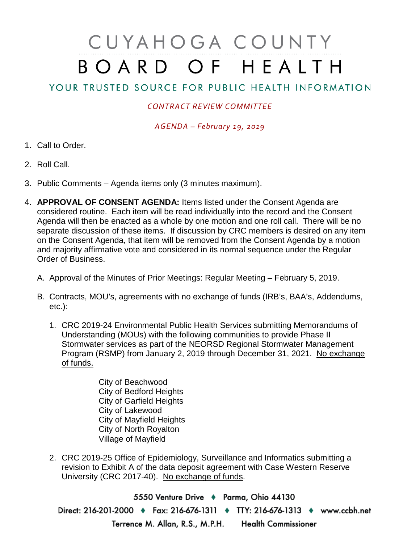## CUYAHOGA COUNTY BOARD OF HEALTH

## YOUR TRUSTED SOURCE FOR PUBLIC HEALTH INFORMATION

## *CONTRACT REVIEW COMMITTEE*

*AGENDA – February 19, 2019*

- 1. Call to Order.
- 2. Roll Call.
- 3. Public Comments Agenda items only (3 minutes maximum).
- 4. **APPROVAL OF CONSENT AGENDA:** Items listed under the Consent Agenda are considered routine. Each item will be read individually into the record and the Consent Agenda will then be enacted as a whole by one motion and one roll call. There will be no separate discussion of these items. If discussion by CRC members is desired on any item on the Consent Agenda, that item will be removed from the Consent Agenda by a motion and majority affirmative vote and considered in its normal sequence under the Regular Order of Business.
	- A. Approval of the Minutes of Prior Meetings: Regular Meeting February 5, 2019.
	- B. Contracts, MOU's, agreements with no exchange of funds (IRB's, BAA's, Addendums, etc.):
		- 1. CRC 2019-24 Environmental Public Health Services submitting Memorandums of Understanding (MOUs) with the following communities to provide Phase II Stormwater services as part of the NEORSD Regional Stormwater Management Program (RSMP) from January 2, 2019 through December 31, 2021. No exchange of funds.
			- City of Beachwood City of Bedford Heights City of Garfield Heights City of Lakewood City of Mayfield Heights City of North Royalton Village of Mayfield
		- 2. CRC 2019-25 Office of Epidemiology, Surveillance and Informatics submitting a revision to Exhibit A of the data deposit agreement with Case Western Reserve University (CRC 2017-40). No exchange of funds.

5550 Venture Drive + Parma, Ohio 44130 Direct: 216-201-2000 ♦ Fax: 216-676-1311 ♦ TTY: 216-676-1313 ♦ www.ccbh.net Terrence M. Allan, R.S., M.P.H. Health Commissioner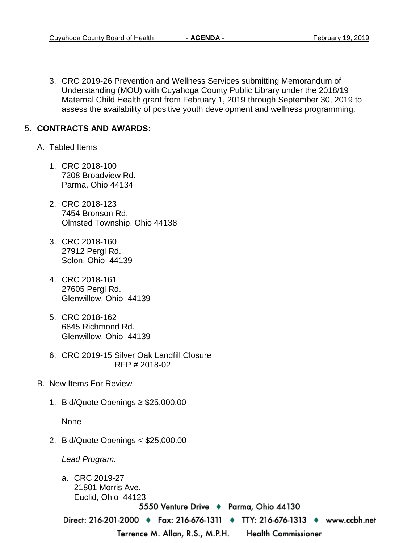3. CRC 2019-26 Prevention and Wellness Services submitting Memorandum of Understanding (MOU) with Cuyahoga County Public Library under the 2018/19 Maternal Child Health grant from February 1, 2019 through September 30, 2019 to assess the availability of positive youth development and wellness programming.

## 5. **CONTRACTS AND AWARDS:**

- A. Tabled Items
	- 1. CRC 2018-100 7208 Broadview Rd. Parma, Ohio 44134
	- 2. CRC 2018-123 7454 Bronson Rd. Olmsted Township, Ohio 44138
	- 3. CRC 2018-160 27912 Pergl Rd. Solon, Ohio 44139
	- 4. CRC 2018-161 27605 Pergl Rd. Glenwillow, Ohio 44139
	- 5. CRC 2018-162 6845 Richmond Rd. Glenwillow, Ohio 44139
	- 6. CRC 2019-15 Silver Oak Landfill Closure RFP # 2018-02
- B. New Items For Review
	- 1. Bid/Quote Openings ≥ \$25,000.00

None

2. Bid/Quote Openings < \$25,000.00

*Lead Program:*

a. CRC 2019-27 21801 Morris Ave. Euclid, Ohio 44123

5550 Venture Drive ♦ Parma, Ohio 44130

Direct: 216-201-2000 • Fax: 216-676-1311 • TTY: 216-676-1313 • www.ccbh.net

Terrence M. Allan, R.S., M.P.H.

**Health Commissioner**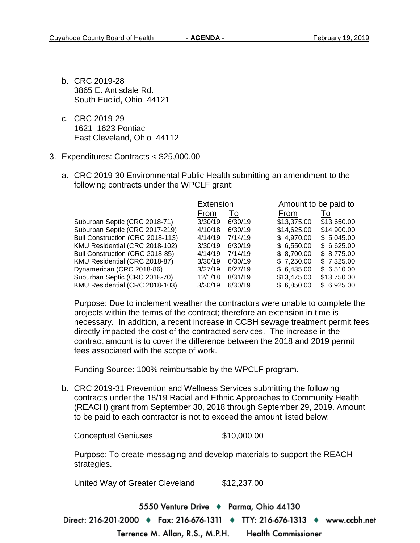- b. CRC 2019-28 3865 E. Antisdale Rd. South Euclid, Ohio 44121
- c. CRC 2019-29 1621–1623 Pontiac East Cleveland, Ohio 44112
- 3. Expenditures: Contracts < \$25,000.00
	- a. CRC 2019-30 Environmental Public Health submitting an amendment to the following contracts under the WPCLF grant:

|                                  | Extension |         | Amount to be paid to |             |
|----------------------------------|-----------|---------|----------------------|-------------|
|                                  | From      | To      | From                 | To          |
| Suburban Septic (CRC 2018-71)    | 3/30/19   | 6/30/19 | \$13,375.00          | \$13,650.00 |
| Suburban Septic (CRC 2017-219)   | 4/10/18   | 6/30/19 | \$14,625.00          | \$14,900.00 |
| Bull Construction (CRC 2018-113) | 4/14/19   | 7/14/19 | \$4,970.00           | \$5,045.00  |
| KMU Residential (CRC 2018-102)   | 3/30/19   | 6/30/19 | \$6.550.00           | \$6,625.00  |
| Bull Construction (CRC 2018-85)  | 4/14/19   | 7/14/19 | \$8,700.00           | \$8,775.00  |
| KMU Residential (CRC 2018-87)    | 3/30/19   | 6/30/19 | \$7,250.00           | \$7,325.00  |
| Dynamerican (CRC 2018-86)        | 3/27/19   | 6/27/19 | \$6,435.00           | \$6,510.00  |
| Suburban Septic (CRC 2018-70)    | 12/1/18   | 8/31/19 | \$13,475.00          | \$13,750.00 |
| KMU Residential (CRC 2018-103)   | 3/30/19   | 6/30/19 | \$6,850.00           | \$6,925.00  |

Purpose: Due to inclement weather the contractors were unable to complete the projects within the terms of the contract; therefore an extension in time is necessary. In addition, a recent increase in CCBH sewage treatment permit fees directly impacted the cost of the contracted services. The increase in the contract amount is to cover the difference between the 2018 and 2019 permit fees associated with the scope of work.

Funding Source: 100% reimbursable by the WPCLF program.

b. CRC 2019-31 Prevention and Wellness Services submitting the following contracts under the 18/19 Racial and Ethnic Approaches to Community Health (REACH) grant from September 30, 2018 through September 29, 2019. Amount to be paid to each contractor is not to exceed the amount listed below:

Conceptual Geniuses \$10,000.00

Purpose: To create messaging and develop materials to support the REACH strategies.

United Way of Greater Cleveland \$12,237.00

5550 Venture Drive + Parma, Ohio 44130 Direct: 216-201-2000 ♦ Fax: 216-676-1311 ♦ TTY: 216-676-1313 ♦ www.ccbh.net

> Terrence M. Allan, R.S., M.P.H. **Health Commissioner**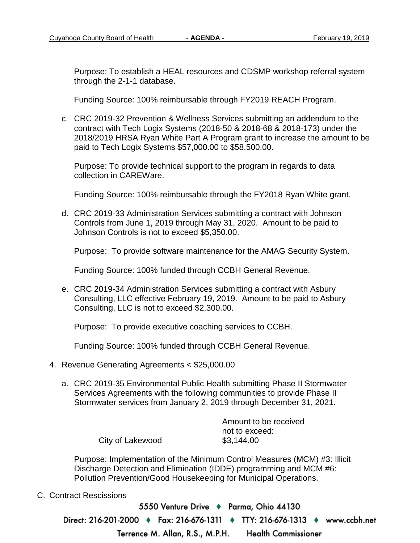Purpose: To establish a HEAL resources and CDSMP workshop referral system through the 2-1-1 database.

Funding Source: 100% reimbursable through FY2019 REACH Program.

c. CRC 2019-32 Prevention & Wellness Services submitting an addendum to the contract with Tech Logix Systems (2018-50 & 2018-68 & 2018-173) under the 2018/2019 HRSA Ryan White Part A Program grant to increase the amount to be paid to Tech Logix Systems \$57,000.00 to \$58,500.00.

Purpose: To provide technical support to the program in regards to data collection in CAREWare.

Funding Source: 100% reimbursable through the FY2018 Ryan White grant.

d. CRC 2019-33 Administration Services submitting a contract with Johnson Controls from June 1, 2019 through May 31, 2020. Amount to be paid to Johnson Controls is not to exceed \$5,350.00.

Purpose: To provide software maintenance for the AMAG Security System.

Funding Source: 100% funded through CCBH General Revenue.

e. CRC 2019-34 Administration Services submitting a contract with Asbury Consulting, LLC effective February 19, 2019. Amount to be paid to Asbury Consulting, LLC is not to exceed \$2,300.00.

Purpose: To provide executive coaching services to CCBH.

Funding Source: 100% funded through CCBH General Revenue.

- 4. Revenue Generating Agreements < \$25,000.00
	- a. CRC 2019-35 Environmental Public Health submitting Phase II Stormwater Services Agreements with the following communities to provide Phase II Stormwater services from January 2, 2019 through December 31, 2021.

|                  | Amount to be received |  |
|------------------|-----------------------|--|
|                  | not to exceed:        |  |
| City of Lakewood | \$3,144.00            |  |

Purpose: Implementation of the Minimum Control Measures (MCM) #3: Illicit Discharge Detection and Elimination (IDDE) programming and MCM #6: Pollution Prevention/Good Housekeeping for Municipal Operations.

C. Contract Rescissions

5550 Venture Drive + Parma, Ohio 44130 Direct: 216-201-2000 ♦ Fax: 216-676-1311 ♦ TTY: 216-676-1313 ♦ www.ccbh.net Terrence M. Allan, R.S., M.P.H. **Health Commissioner**